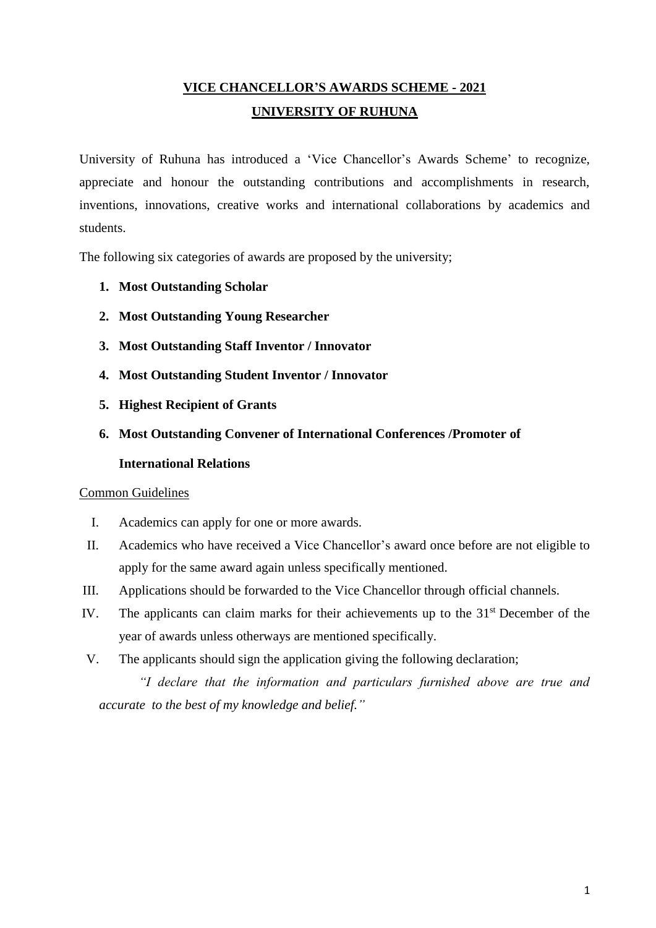# **VICE CHANCELLOR'S AWARDS SCHEME - 2021 UNIVERSITY OF RUHUNA**

University of Ruhuna has introduced a 'Vice Chancellor's Awards Scheme' to recognize, appreciate and honour the outstanding contributions and accomplishments in research, inventions, innovations, creative works and international collaborations by academics and students.

The following six categories of awards are proposed by the university;

- **1. Most Outstanding Scholar**
- **2. Most Outstanding Young Researcher**
- **3. Most Outstanding Staff Inventor / Innovator**
- **4. Most Outstanding Student Inventor / Innovator**
- **5. Highest Recipient of Grants**
- **6. Most Outstanding Convener of International Conferences /Promoter of International Relations**

#### Common Guidelines

- I. Academics can apply for one or more awards.
- II. Academics who have received a Vice Chancellor's award once before are not eligible to apply for the same award again unless specifically mentioned.
- III. Applications should be forwarded to the Vice Chancellor through official channels.
- IV. The applicants can claim marks for their achievements up to the 31<sup>st</sup> December of the year of awards unless otherways are mentioned specifically.
- V. The applicants should sign the application giving the following declaration;

*"I declare that the information and particulars furnished above are true and accurate to the best of my knowledge and belief."*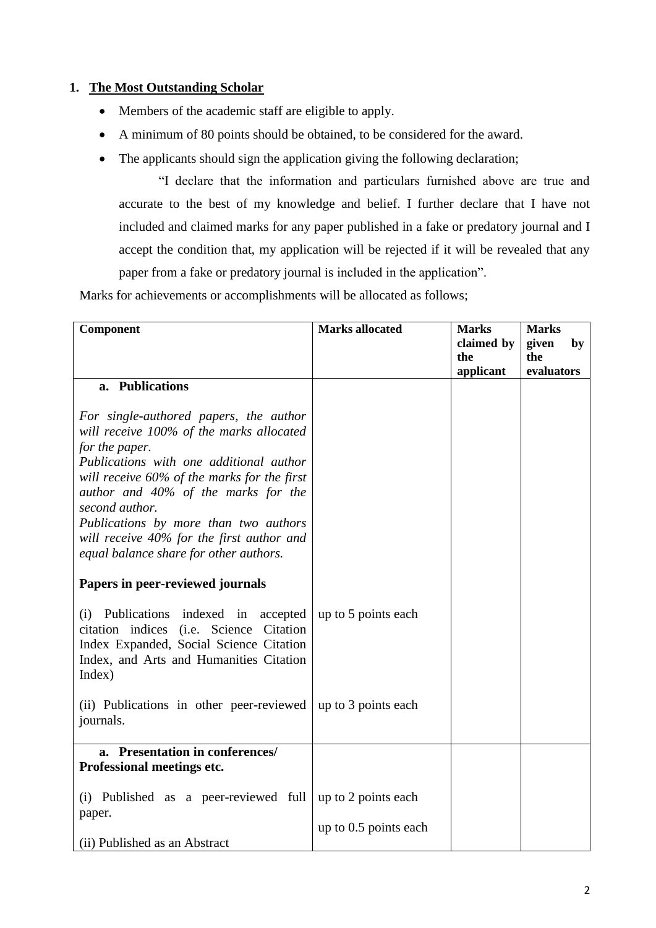#### **1. The Most Outstanding Scholar**

- Members of the academic staff are eligible to apply.
- A minimum of 80 points should be obtained, to be considered for the award.
- The applicants should sign the application giving the following declaration;

"I declare that the information and particulars furnished above are true and accurate to the best of my knowledge and belief. I further declare that I have not included and claimed marks for any paper published in a fake or predatory journal and I accept the condition that, my application will be rejected if it will be revealed that any paper from a fake or predatory journal is included in the application".

Marks for achievements or accomplishments will be allocated as follows;

| Component                                                                                                                                                                                                                                                                                                                                                                               | <b>Marks allocated</b>  | <b>Marks</b><br>claimed by<br>the<br>applicant | <b>Marks</b><br>given<br>by<br>the<br>evaluators |
|-----------------------------------------------------------------------------------------------------------------------------------------------------------------------------------------------------------------------------------------------------------------------------------------------------------------------------------------------------------------------------------------|-------------------------|------------------------------------------------|--------------------------------------------------|
| a. Publications                                                                                                                                                                                                                                                                                                                                                                         |                         |                                                |                                                  |
| For single-authored papers, the author<br>will receive 100% of the marks allocated<br>for the paper.<br>Publications with one additional author<br>will receive 60% of the marks for the first<br>author and 40% of the marks for the<br>second author.<br>Publications by more than two authors<br>will receive 40% for the first author and<br>equal balance share for other authors. |                         |                                                |                                                  |
| Papers in peer-reviewed journals                                                                                                                                                                                                                                                                                                                                                        |                         |                                                |                                                  |
| (i) Publications indexed in accepted<br>citation indices (i.e. Science Citation<br>Index Expanded, Social Science Citation<br>Index, and Arts and Humanities Citation<br>Index)                                                                                                                                                                                                         | up to 5 points each     |                                                |                                                  |
| (ii) Publications in other peer-reviewed<br>journals.                                                                                                                                                                                                                                                                                                                                   | up to 3 points each     |                                                |                                                  |
| a. Presentation in conferences/                                                                                                                                                                                                                                                                                                                                                         |                         |                                                |                                                  |
| Professional meetings etc.                                                                                                                                                                                                                                                                                                                                                              |                         |                                                |                                                  |
| (i) Published as a peer-reviewed full<br>paper.                                                                                                                                                                                                                                                                                                                                         | up to 2 points each     |                                                |                                                  |
| (ii) Published as an Abstract                                                                                                                                                                                                                                                                                                                                                           | up to $0.5$ points each |                                                |                                                  |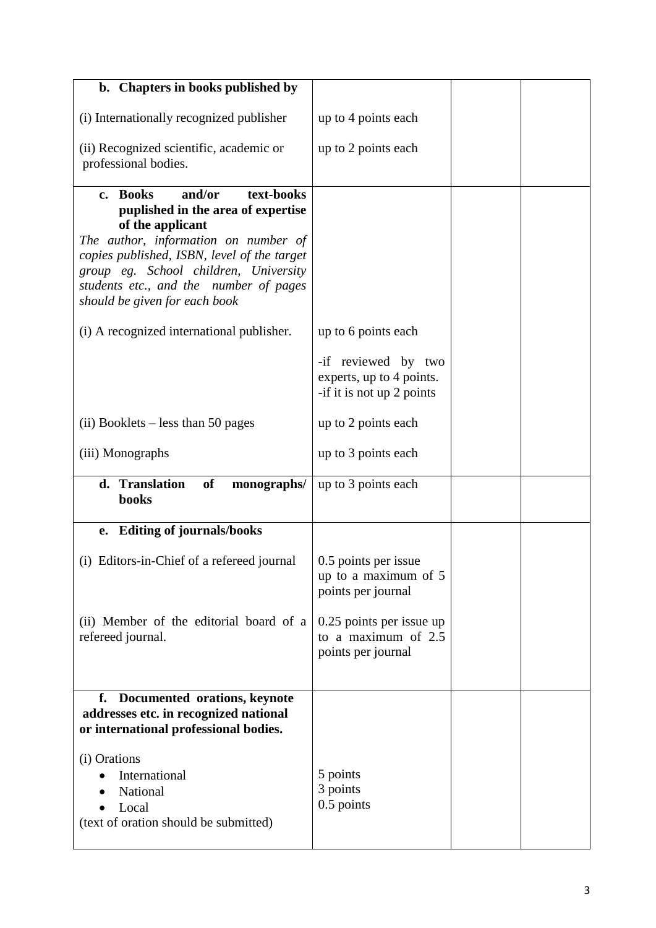| b. Chapters in books published by                                                                                                                                                                                                                                                                     |                                                                              |  |
|-------------------------------------------------------------------------------------------------------------------------------------------------------------------------------------------------------------------------------------------------------------------------------------------------------|------------------------------------------------------------------------------|--|
| (i) Internationally recognized publisher                                                                                                                                                                                                                                                              | up to 4 points each                                                          |  |
| (ii) Recognized scientific, academic or<br>professional bodies.                                                                                                                                                                                                                                       | up to 2 points each                                                          |  |
| and/or<br>text-books<br>c. Books<br>puplished in the area of expertise<br>of the applicant<br>The author, information on number of<br>copies published, ISBN, level of the target<br>group eg. School children, University<br>students etc., and the number of pages<br>should be given for each book |                                                                              |  |
| (i) A recognized international publisher.                                                                                                                                                                                                                                                             | up to 6 points each                                                          |  |
|                                                                                                                                                                                                                                                                                                       | -if reviewed by two<br>experts, up to 4 points.<br>-if it is not up 2 points |  |
| $(ii)$ Booklets – less than 50 pages                                                                                                                                                                                                                                                                  | up to 2 points each                                                          |  |
| (iii) Monographs                                                                                                                                                                                                                                                                                      | up to 3 points each                                                          |  |
| d. Translation<br>of<br>monographs/<br>books                                                                                                                                                                                                                                                          | up to 3 points each                                                          |  |
| <b>Editing of journals/books</b><br>e.                                                                                                                                                                                                                                                                |                                                                              |  |
| (i) Editors-in-Chief of a refereed journal                                                                                                                                                                                                                                                            | 0.5 points per issue<br>up to a maximum of 5<br>points per journal           |  |
| (ii) Member of the editorial board of a<br>refereed journal.                                                                                                                                                                                                                                          | 0.25 points per issue up<br>to a maximum of 2.5<br>points per journal        |  |
| f.<br>Documented orations, keynote<br>addresses etc. in recognized national<br>or international professional bodies.                                                                                                                                                                                  |                                                                              |  |
| (i) Orations<br>International<br>National<br>Local<br>(text of oration should be submitted)                                                                                                                                                                                                           | 5 points<br>3 points<br>0.5 points                                           |  |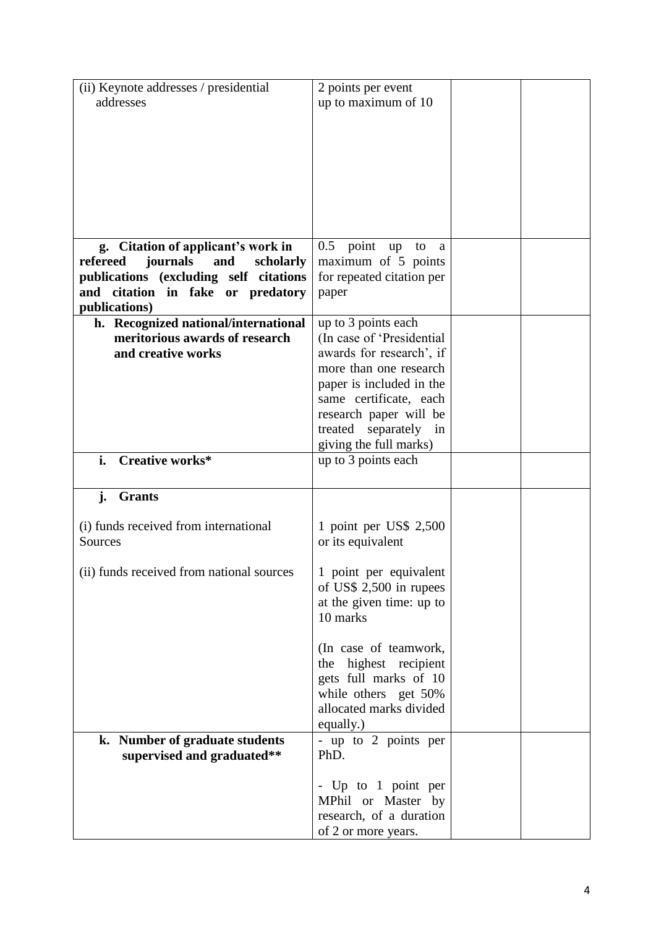| (ii) Keynote addresses / presidential                                          | 2 points per event                                  |  |
|--------------------------------------------------------------------------------|-----------------------------------------------------|--|
| addresses                                                                      | up to maximum of 10                                 |  |
|                                                                                |                                                     |  |
|                                                                                |                                                     |  |
|                                                                                |                                                     |  |
|                                                                                |                                                     |  |
|                                                                                |                                                     |  |
|                                                                                |                                                     |  |
|                                                                                |                                                     |  |
|                                                                                |                                                     |  |
|                                                                                |                                                     |  |
| g. Citation of applicant's work in<br>refereed<br>journals<br>scholarly<br>and | $0.5$ point<br>up<br>to<br>a<br>maximum of 5 points |  |
| publications (excluding self citations                                         | for repeated citation per                           |  |
| and citation in fake or predatory                                              | paper                                               |  |
| publications)                                                                  |                                                     |  |
| h. Recognized national/international                                           | up to 3 points each                                 |  |
| meritorious awards of research                                                 | (In case of 'Presidential                           |  |
| and creative works                                                             | awards for research', if                            |  |
|                                                                                | more than one research                              |  |
|                                                                                | paper is included in the                            |  |
|                                                                                | same certificate, each                              |  |
|                                                                                | research paper will be                              |  |
|                                                                                | treated separately<br>in                            |  |
|                                                                                | giving the full marks)                              |  |
| Creative works*<br>i.                                                          | up to 3 points each                                 |  |
|                                                                                |                                                     |  |
| j.<br><b>Grants</b>                                                            |                                                     |  |
|                                                                                |                                                     |  |
| (i) funds received from international                                          | 1 point per US\$ 2,500                              |  |
| Sources                                                                        | or its equivalent                                   |  |
|                                                                                |                                                     |  |
| (ii) funds received from national sources                                      | 1 point per equivalent                              |  |
|                                                                                | of US\$ 2,500 in rupees                             |  |
|                                                                                | at the given time: up to                            |  |
|                                                                                | 10 marks                                            |  |
|                                                                                |                                                     |  |
|                                                                                | (In case of teamwork,                               |  |
|                                                                                | the highest recipient                               |  |
|                                                                                | gets full marks of 10                               |  |
|                                                                                | while others get 50%<br>allocated marks divided     |  |
|                                                                                |                                                     |  |
| <b>Number of graduate students</b><br>k.                                       | equally.)<br>- up to 2 points per                   |  |
| supervised and graduated**                                                     |                                                     |  |
|                                                                                |                                                     |  |
|                                                                                | PhD.                                                |  |
|                                                                                |                                                     |  |
|                                                                                | - Up to 1 point per                                 |  |
|                                                                                | MPhil or Master by<br>research, of a duration       |  |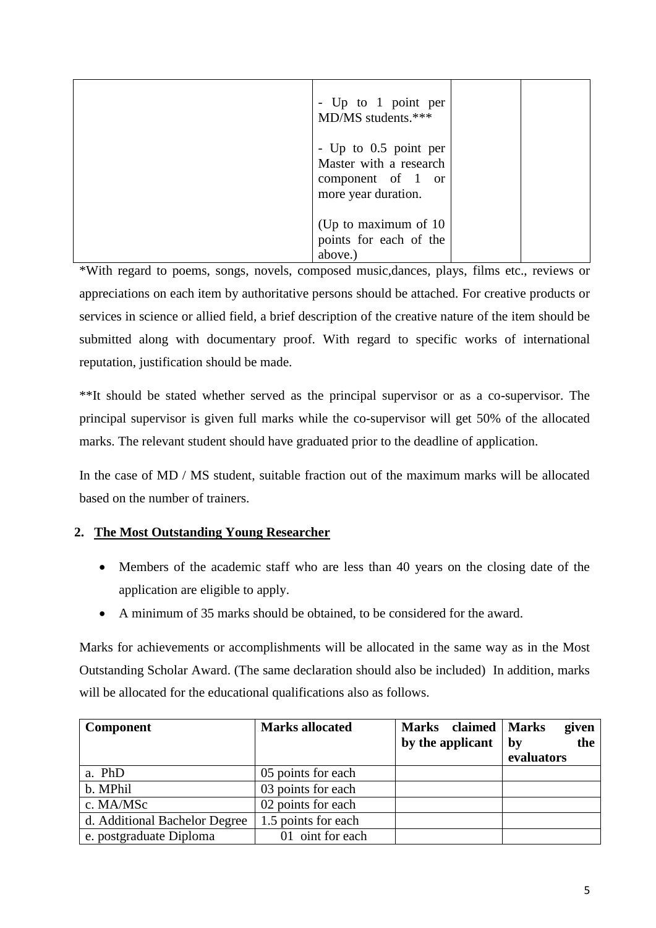| - Up to 1 point per<br>MD/MS students.***                                                   |  |
|---------------------------------------------------------------------------------------------|--|
| - Up to 0.5 point per<br>Master with a research<br>component of 1 or<br>more year duration. |  |
| (Up to maximum of 10)<br>points for each of the<br>above.)                                  |  |

\*With regard to poems, songs, novels, composed music,dances, plays, films etc., reviews or appreciations on each item by authoritative persons should be attached. For creative products or services in science or allied field, a brief description of the creative nature of the item should be submitted along with documentary proof. With regard to specific works of international reputation, justification should be made.

\*\*It should be stated whether served as the principal supervisor or as a co-supervisor. The principal supervisor is given full marks while the co-supervisor will get 50% of the allocated marks. The relevant student should have graduated prior to the deadline of application.

In the case of MD / MS student, suitable fraction out of the maximum marks will be allocated based on the number of trainers.

## **2. The Most Outstanding Young Researcher**

- Members of the academic staff who are less than 40 years on the closing date of the application are eligible to apply.
- A minimum of 35 marks should be obtained, to be considered for the award.

Marks for achievements or accomplishments will be allocated in the same way as in the Most Outstanding Scholar Award. (The same declaration should also be included) In addition, marks will be allocated for the educational qualifications also as follows.

| <b>Component</b>              | <b>Marks allocated</b> | Marks claimed   Marks | given                   |
|-------------------------------|------------------------|-----------------------|-------------------------|
|                               |                        | by the applicant      | the<br>by<br>evaluators |
|                               |                        |                       |                         |
| a. PhD                        | 05 points for each     |                       |                         |
| b. MPhil                      | 03 points for each     |                       |                         |
| c. MA/MSc                     | 02 points for each     |                       |                         |
| d. Additional Bachelor Degree | 1.5 points for each    |                       |                         |
| e. postgraduate Diploma       | 01 oint for each       |                       |                         |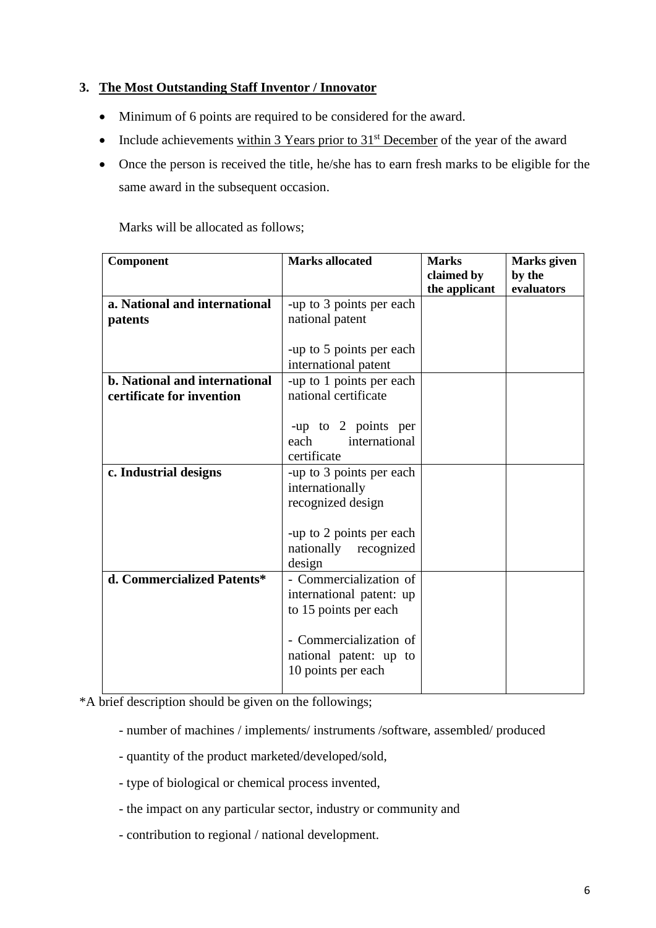## **3. The Most Outstanding Staff Inventor / Innovator**

- Minimum of 6 points are required to be considered for the award.
- Include achievements within 3 Years prior to  $31<sup>st</sup>$  December of the year of the award
- Once the person is received the title, he/she has to earn fresh marks to be eligible for the same award in the subsequent occasion.

Marks will be allocated as follows;

| Component                     | <b>Marks allocated</b>   | <b>Marks</b>  | Marks given |
|-------------------------------|--------------------------|---------------|-------------|
|                               |                          | claimed by    | by the      |
|                               |                          | the applicant | evaluators  |
| a. National and international | -up to 3 points per each |               |             |
| patents                       | national patent          |               |             |
|                               |                          |               |             |
|                               | -up to 5 points per each |               |             |
|                               | international patent     |               |             |
| b. National and international | -up to 1 points per each |               |             |
| certificate for invention     | national certificate     |               |             |
|                               |                          |               |             |
|                               | -up to 2 points per      |               |             |
|                               | international<br>each    |               |             |
|                               | certificate              |               |             |
| c. Industrial designs         | -up to 3 points per each |               |             |
|                               | internationally          |               |             |
|                               | recognized design        |               |             |
|                               |                          |               |             |
|                               | -up to 2 points per each |               |             |
|                               | nationally<br>recognized |               |             |
|                               | design                   |               |             |
| d. Commercialized Patents*    | - Commercialization of   |               |             |
|                               | international patent: up |               |             |
|                               | to 15 points per each    |               |             |
|                               |                          |               |             |
|                               | - Commercialization of   |               |             |
|                               | national patent: up to   |               |             |
|                               | 10 points per each       |               |             |
|                               |                          |               |             |

\*A brief description should be given on the followings;

- number of machines / implements/ instruments /software, assembled/ produced
- quantity of the product marketed/developed/sold,
- type of biological or chemical process invented,
- the impact on any particular sector, industry or community and
- contribution to regional / national development.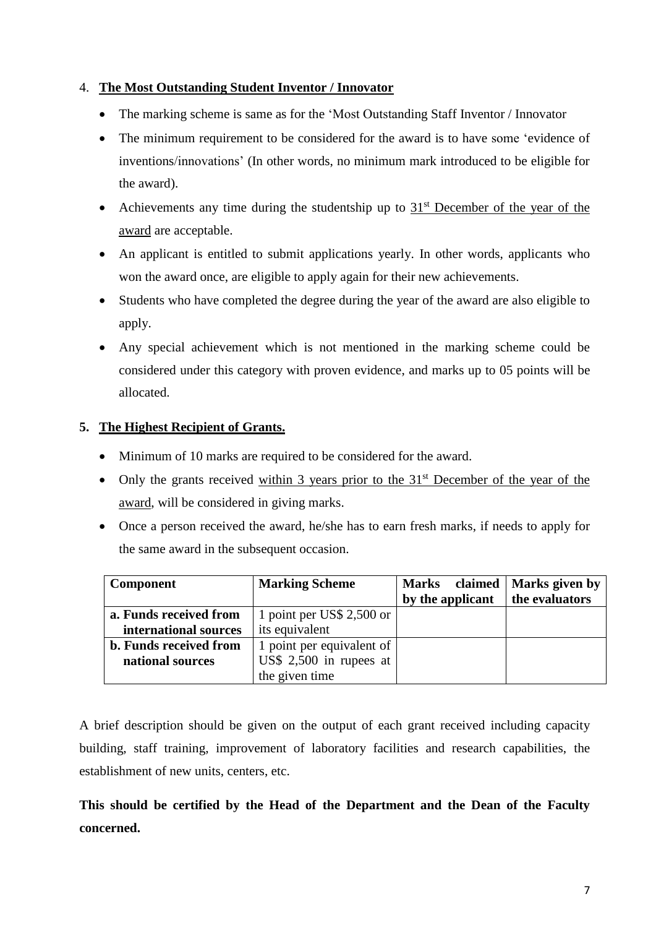#### 4. **The Most Outstanding Student Inventor / Innovator**

- The marking scheme is same as for the 'Most Outstanding Staff Inventor / Innovator
- The minimum requirement to be considered for the award is to have some 'evidence of inventions/innovations' (In other words, no minimum mark introduced to be eligible for the award).
- Achievements any time during the studentship up to  $31<sup>st</sup>$  December of the year of the award are acceptable.
- An applicant is entitled to submit applications yearly. In other words, applicants who won the award once, are eligible to apply again for their new achievements.
- Students who have completed the degree during the year of the award are also eligible to apply.
- Any special achievement which is not mentioned in the marking scheme could be considered under this category with proven evidence, and marks up to 05 points will be allocated.

## **5. The Highest Recipient of Grants.**

- Minimum of 10 marks are required to be considered for the award.
- Only the grants received within 3 years prior to the  $31<sup>st</sup>$  December of the year of the award, will be considered in giving marks.
- Once a person received the award, he/she has to earn fresh marks, if needs to apply for the same award in the subsequent occasion.

| <b>Component</b>              | <b>Marking Scheme</b>     | claimed<br><b>Marks</b> | Marks given by |
|-------------------------------|---------------------------|-------------------------|----------------|
|                               |                           | by the applicant        | the evaluators |
| a. Funds received from        | 1 point per US\$ 2,500 or |                         |                |
| international sources         | its equivalent            |                         |                |
| <b>b.</b> Funds received from | 1 point per equivalent of |                         |                |
| national sources              | US\$ $2,500$ in rupees at |                         |                |
|                               | the given time            |                         |                |

A brief description should be given on the output of each grant received including capacity building, staff training, improvement of laboratory facilities and research capabilities, the establishment of new units, centers, etc.

**This should be certified by the Head of the Department and the Dean of the Faculty concerned.**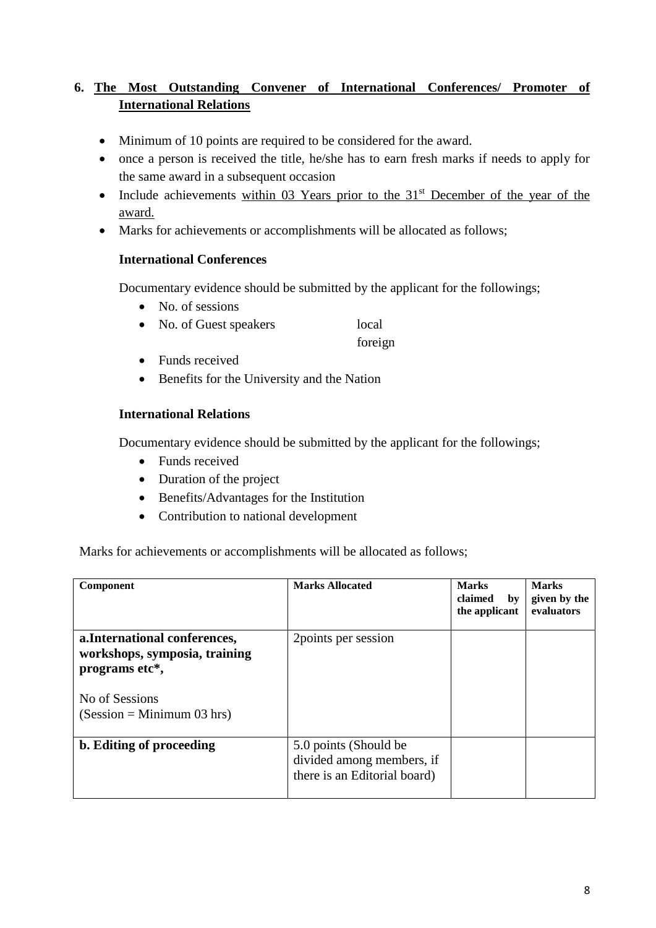## **6. The Most Outstanding Convener of International Conferences/ Promoter of International Relations**

- Minimum of 10 points are required to be considered for the award.
- once a person is received the title, he/she has to earn fresh marks if needs to apply for the same award in a subsequent occasion
- Include achievements within 03 Years prior to the  $31<sup>st</sup>$  December of the year of the award.
- Marks for achievements or accomplishments will be allocated as follows;

#### **International Conferences**

Documentary evidence should be submitted by the applicant for the followings;

- No. of sessions
- No. of Guest speakers local

foreign

- Funds received
- Benefits for the University and the Nation

### **International Relations**

Documentary evidence should be submitted by the applicant for the followings;

- Funds received
- Duration of the project
- Benefits/Advantages for the Institution
- Contribution to national development

Marks for achievements or accomplishments will be allocated as follows;

| Component                                                                                                                          | <b>Marks Allocated</b>                                                              | <b>Marks</b><br>claimed<br>bv<br>the applicant | <b>Marks</b><br>given by the<br>evaluators |
|------------------------------------------------------------------------------------------------------------------------------------|-------------------------------------------------------------------------------------|------------------------------------------------|--------------------------------------------|
| a. International conferences,<br>workshops, symposia, training<br>programs etc*,<br>No of Sessions<br>$(Session = Minimum 03 hrs)$ | 2 points per session                                                                |                                                |                                            |
| b. Editing of proceeding                                                                                                           | 5.0 points (Should be)<br>divided among members, if<br>there is an Editorial board) |                                                |                                            |